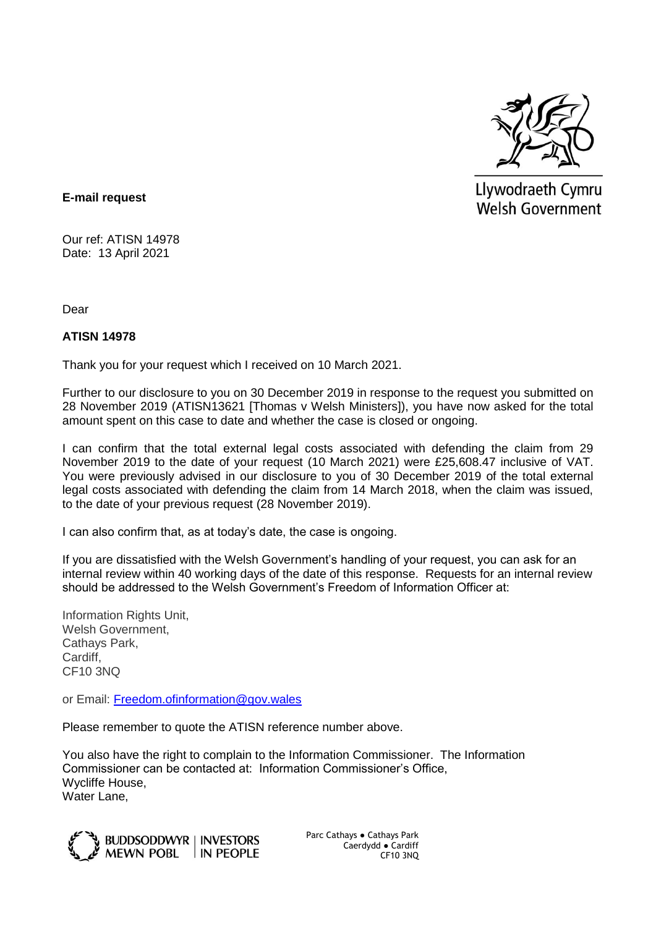

Llywodraeth Cymru **Welsh Government** 

## **E-mail request**

Our ref: ATISN 14978 Date: 13 April 2021

Dear

## **ATISN 14978**

Thank you for your request which I received on 10 March 2021.

Further to our disclosure to you on 30 December 2019 in response to the request you submitted on 28 November 2019 (ATISN13621 [Thomas v Welsh Ministers]), you have now asked for the total amount spent on this case to date and whether the case is closed or ongoing.

I can confirm that the total external legal costs associated with defending the claim from 29 November 2019 to the date of your request (10 March 2021) were £25,608.47 inclusive of VAT. You were previously advised in our disclosure to you of 30 December 2019 of the total external legal costs associated with defending the claim from 14 March 2018, when the claim was issued, to the date of your previous request (28 November 2019).

I can also confirm that, as at today's date, the case is ongoing.

If you are dissatisfied with the Welsh Government's handling of your request, you can ask for an internal review within 40 working days of the date of this response. Requests for an internal review should be addressed to the Welsh Government's Freedom of Information Officer at:

Information Rights Unit, Welsh Government, Cathays Park, Cardiff, CF10 3NQ

or Email: [Freedom.ofinformation@gov.wales](mailto:Freedom.ofinformation@gov.wales)

Please remember to quote the ATISN reference number above.

You also have the right to complain to the Information Commissioner. The Information Commissioner can be contacted at: Information Commissioner's Office, Wycliffe House, Water Lane,



Parc Cathays ● Cathays Park Caerdydd ● Cardiff CF10 3NQ